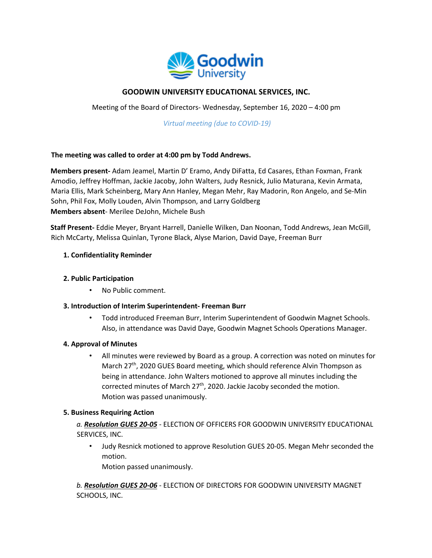

# **GOODWIN UNIVERSITY EDUCATIONAL SERVICES, INC.**

Meeting of the Board of Directors- Wednesday, September 16, 2020 – 4:00 pm

*Virtual meeting (due to COVID-19)* 

## **The meeting was called to order at 4:00 pm by Todd Andrews.**

**Members present-** Adam Jeamel, Martin D' Eramo, Andy DiFatta, Ed Casares, Ethan Foxman, Frank Amodio, Jeffrey Hoffman, Jackie Jacoby, John Walters, Judy Resnick, Julio Maturana, Kevin Armata, Maria Ellis, Mark Scheinberg, Mary Ann Hanley, Megan Mehr, Ray Madorin, Ron Angelo, and Se-Min Sohn, Phil Fox, Molly Louden, Alvin Thompson, and Larry Goldberg **Members absent**- Merilee DeJohn, Michele Bush

**Staff Present-** Eddie Meyer, Bryant Harrell, Danielle Wilken, Dan Noonan, Todd Andrews, Jean McGill, Rich McCarty, Melissa Quinlan, Tyrone Black, Alyse Marion, David Daye, Freeman Burr

## **1. Confidentiality Reminder**

#### **2. Public Participation**

• No Public comment.

# **3. Introduction of Interim Superintendent- Freeman Burr**

• Todd introduced Freeman Burr, Interim Superintendent of Goodwin Magnet Schools. Also, in attendance was David Daye, Goodwin Magnet Schools Operations Manager.

#### **4. Approval of Minutes**

• All minutes were reviewed by Board as a group. A correction was noted on minutes for March 27<sup>th</sup>, 2020 GUES Board meeting, which should reference Alvin Thompson as being in attendance. John Walters motioned to approve all minutes including the corrected minutes of March  $27<sup>th</sup>$ , 2020. Jackie Jacoby seconded the motion. Motion was passed unanimously.

# **5. Business Requiring Action**

*a. Resolution GUES 20-05* - ELECTION OF OFFICERS FOR GOODWIN UNIVERSITY EDUCATIONAL SERVICES, INC.

• Judy Resnick motioned to approve Resolution GUES 20-05. Megan Mehr seconded the motion.

Motion passed unanimously.

*b. Resolution GUES 20-06* - ELECTION OF DIRECTORS FOR GOODWIN UNIVERSITY MAGNET SCHOOLS, INC.